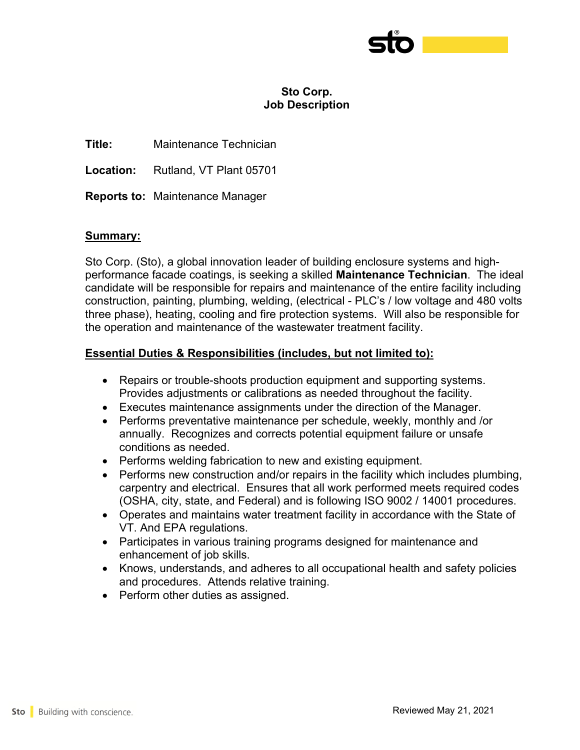

## **Sto Corp. Job Description**

**Title:** Maintenance Technician

**Location:** Rutland, VT Plant 05701

**Reports to:** Maintenance Manager

## **Summary:**

Sto Corp. (Sto), a global innovation leader of building enclosure systems and highperformance facade coatings, is seeking a skilled **Maintenance Technician**. The ideal candidate will be responsible for repairs and maintenance of the entire facility including construction, painting, plumbing, welding, (electrical - PLC's / low voltage and 480 volts three phase), heating, cooling and fire protection systems. Will also be responsible for the operation and maintenance of the wastewater treatment facility.

## **Essential Duties & Responsibilities (includes, but not limited to):**

- Repairs or trouble-shoots production equipment and supporting systems. Provides adjustments or calibrations as needed throughout the facility.
- Executes maintenance assignments under the direction of the Manager.
- Performs preventative maintenance per schedule, weekly, monthly and /or annually. Recognizes and corrects potential equipment failure or unsafe conditions as needed.
- Performs welding fabrication to new and existing equipment.
- Performs new construction and/or repairs in the facility which includes plumbing, carpentry and electrical. Ensures that all work performed meets required codes (OSHA, city, state, and Federal) and is following ISO 9002 / 14001 procedures.
- Operates and maintains water treatment facility in accordance with the State of VT. And EPA regulations.
- Participates in various training programs designed for maintenance and enhancement of job skills.
- Knows, understands, and adheres to all occupational health and safety policies and procedures. Attends relative training.
- Perform other duties as assigned.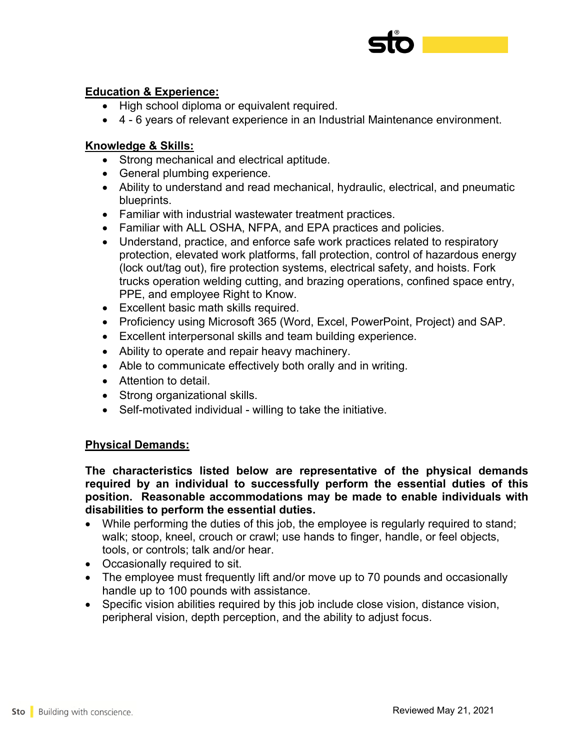

## **Education & Experience:**

- High school diploma or equivalent required.
- 4 6 years of relevant experience in an Industrial Maintenance environment.

## **Knowledge & Skills:**

- Strong mechanical and electrical aptitude.
- General plumbing experience.
- Ability to understand and read mechanical, hydraulic, electrical, and pneumatic blueprints.
- Familiar with industrial wastewater treatment practices.
- Familiar with ALL OSHA, NFPA, and EPA practices and policies.
- Understand, practice, and enforce safe work practices related to respiratory protection, elevated work platforms, fall protection, control of hazardous energy (lock out/tag out), fire protection systems, electrical safety, and hoists. Fork trucks operation welding cutting, and brazing operations, confined space entry, PPE, and employee Right to Know.
- Excellent basic math skills required.
- Proficiency using Microsoft 365 (Word, Excel, PowerPoint, Project) and SAP.
- Excellent interpersonal skills and team building experience.
- Ability to operate and repair heavy machinery.
- Able to communicate effectively both orally and in writing.
- Attention to detail.
- Strong organizational skills.
- Self-motivated individual willing to take the initiative.

## **Physical Demands:**

**The characteristics listed below are representative of the physical demands required by an individual to successfully perform the essential duties of this position. Reasonable accommodations may be made to enable individuals with disabilities to perform the essential duties.**

- While performing the duties of this job, the employee is regularly required to stand; walk; stoop, kneel, crouch or crawl; use hands to finger, handle, or feel objects, tools, or controls; talk and/or hear.
- Occasionally required to sit.
- The employee must frequently lift and/or move up to 70 pounds and occasionally handle up to 100 pounds with assistance.
- Specific vision abilities required by this job include close vision, distance vision, peripheral vision, depth perception, and the ability to adjust focus.